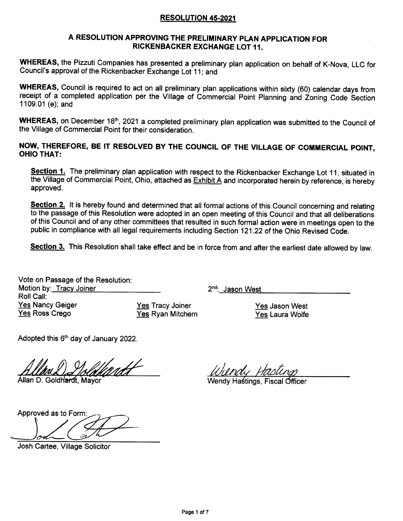#### RESOLUTION 45-2021

### A RESOLUTION APPROVING THE PRELIMINARY PLAN APPLICATION FOR RIGKENBACKER EXCHANGE LOT 11.

WHEREAS, the Pizzuti Companies has presented a preliminary plan application on behalf of K-Nova, LLC for Council's approval of the Rickenbacker Exchange Lot 11; and

WHEREAS, Council is required to act on all preliminary plan applications within sixty (60) calendar days from receipt of a completed application per the Village of Commercial Point Planning and Zoning Code Section 1109.01 (e); and

WHEREAS, on December 18<sup>th</sup>, 2021 a completed preliminary plan application was submitted to the Council of the Village of Commercial Point for their consideration.

#### NOW, THEREFORE, BE IT RESOLVED BY THE COUNCIL OF THE VILLAGE OF GOMMERCIAL POINT, OHIO THAT:

Section 1. The preliminary plan application with respect to the Rickenbacker Exchange Lot 11, situated in the Village of Commercial Point, Ohio, attached as **Exhibit A** and incorporated herein by reference, is hereby approved.

Section 2. It is hereby found and determined that all formal actions of this Council concerning and relating to the passage of this Resolution were adopted in an open meeting of this Council and that all deliberations of this Council and of any other committees that resulted in such formal action were in meetings open to the public in compliance with all legal requirements including Section 121.22 of the Ohio Revised Code.

Section 3. This Resolution shall take effect and be in force from and after the earliest date allowed by law.

Vote on Passage of the Resolution: Motion by: Tracv Joiner Roll Call: Yes Nancy Geiger Yes Ross Crego

Yes Tracy Joiner Yes Ryan Mitchem  $2<sup>nd</sup>$ : Jason West

Yes Jason West Yes Laura Wolfe

Adopted this 6<sup>th</sup> day of January 2022.

Mayor D. Wendy Fiscal

Approved as to Form:

Josh Cartee, Village Solicitor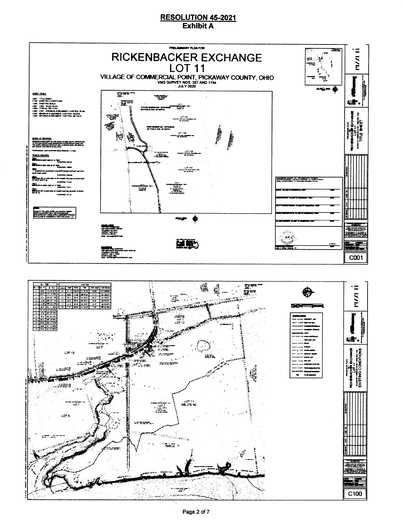#### **RESOLUTION 45-2021 Exhibit A**





Page 2 of 7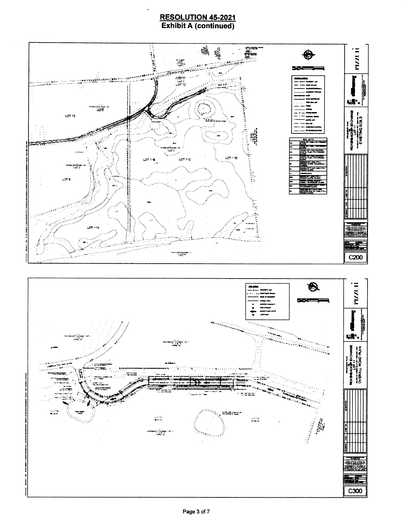## **RESOLUTION 45-2021 Exhibit A (continued)**

 $\epsilon$ 



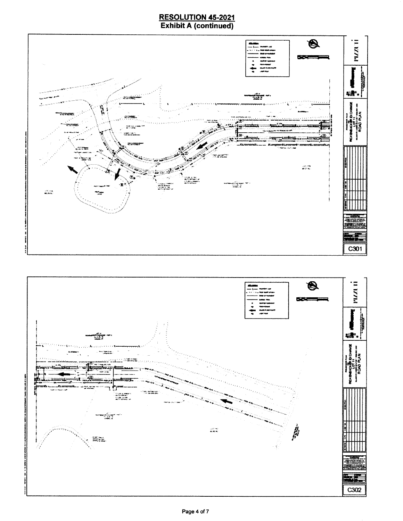## **RESOLUTION 45-2021**<br>Exhibit A (continued)



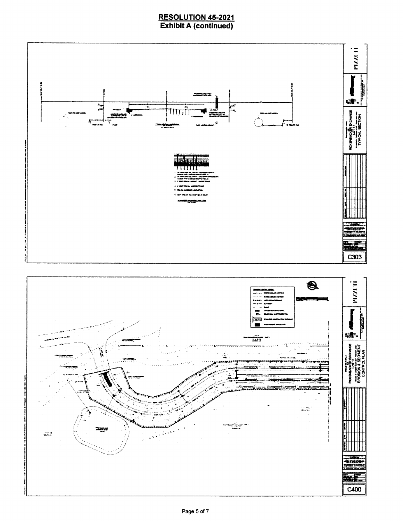## **RESOLUTION 45-2021**<br>Exhibit A (continued)



C400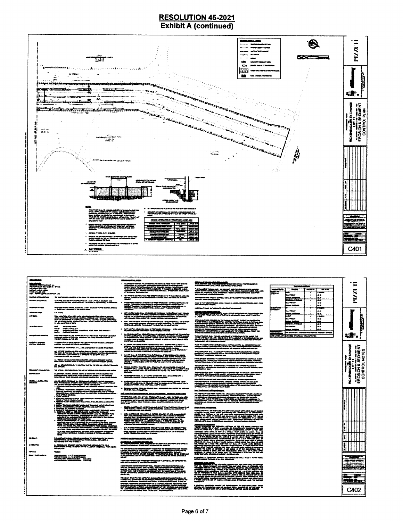# **RESOLUTION 45-2021**<br>Exhibit A (continued)



| سمسمتك                                                                                                                                                                                                                                                                                       |                                                                                                                                                                                                                                                                                                                                                                                                                                                                                                                                 |                                                                                                                                                                                                                                                     |                                                                                                                                                           |                                                                  |
|----------------------------------------------------------------------------------------------------------------------------------------------------------------------------------------------------------------------------------------------------------------------------------------------|---------------------------------------------------------------------------------------------------------------------------------------------------------------------------------------------------------------------------------------------------------------------------------------------------------------------------------------------------------------------------------------------------------------------------------------------------------------------------------------------------------------------------------|-----------------------------------------------------------------------------------------------------------------------------------------------------------------------------------------------------------------------------------------------------|-----------------------------------------------------------------------------------------------------------------------------------------------------------|------------------------------------------------------------------|
| naturat                                                                                                                                                                                                                                                                                      |                                                                                                                                                                                                                                                                                                                                                                                                                                                                                                                                 | <b>Maria Alexandria</b><br>Alexandria Alexandria<br>aar.                                                                                                                                                                                            |                                                                                                                                                           | . .<br>.<br>.                                                    |
| <b>Maria Bengara Perang Perang Perang Perang Perang Perang Perang Perang Perang Perang Perang Perang Perang Peran</b><br>Perang Perang Perang Perang Perang Perang Perang Perang Perang Perang Perang Perang Perang Perang Perang Pera<br>hand guy ah shif<br>han Jami's adi na halincar can | <b>RESERVANCE</b>                                                                                                                                                                                                                                                                                                                                                                                                                                                                                                               | t a fearbhachadh ann an 1911 an 1911 an Aire an chaile an 1912 a 1913.<br>Màite an t-a can fheach ann agus fheach an agus agus an 1918. Tha 1919.<br>An t-bhach an Habitan agus the Childh Ghaile agus an 1919.                                     | <b>Sides The Color</b><br><b>COLOR</b><br>---<br><b>DEL ALCO</b><br>mers<br>متحدد                                                                         | ₹                                                                |
| FAIRTHIS SITE CONSTRAINT<br>THE RIGHTING APP CHARGES OF THE TRUCK OF THERE ARE HIS MANUSCHE ANGLES                                                                                                                                                                                           | and Britain schedule Houston completed and many to the another or behavior of the second service of the complete service of the complete service of the complete service of the complete service of the complete service of th                                                                                                                                                                                                                                                                                                  | an't food and his critical critical condition, and a not foundation rises advertised and in control.<br>Their gas built of stages given                                                                                                             | ie 4<br>بمجاولته عبد<br>. .                                                                                                                               | ×.                                                               |
| <b>PACARET ANNANNYAL</b><br>a Thurball, monadal this colonial and a long of the Anti-Antibian and and<br>adaptative of a finite a problement is a transaction for the approach, the finite and                                                                                               |                                                                                                                                                                                                                                                                                                                                                                                                                                                                                                                                 | stadio-la-f' al-Silatini "Budata avalus a delavis vi a cottin, fotoatus/titus/ales, autos ritora.<br>Arb-Silatini statist danastiik.                                                                                                                | --<br>rw<br><b>LIMBER</b><br>10.00                                                                                                                        | Ξ                                                                |
| 100510-01000<br>Photo Mills of The to collaborate and compared and contact the first statement of the collaboration of the col<br>-- Sufficiency contacting to the state first profit and the                                                                                                | mande Mars Andelsen, Conseil is de Mars Trajesson, et afiliation de Mars († 1883)<br>Andelse Tradisione de Mars Andersen, americanista est anticipativa († 1871)<br>Mars de Mars († 1883)<br>Mars de Mars († 2008) († 1883)                                                                                                                                                                                                                                                                                                     | contribute with the statement with the space of                                                                                                                                                                                                     | <b></b><br>حدعدا<br><b>COMP</b><br>72.000                                                                                                                 |                                                                  |
| متعاد والمقالات<br>147,000                                                                                                                                                                                                                                                                   |                                                                                                                                                                                                                                                                                                                                                                                                                                                                                                                                 | a sa antara da seu a composição de composição de construiro de construiro de construiro de construiro de const<br>A construiro de construiro de construiro de construiro de construiro de construiro de construiro de construiro                    | 100040<br>i ar an i<br><b>Royal At Addition</b><br>id de                                                                                                  |                                                                  |
| <b>AND SHAW</b><br>The charles of a strain model aspekts characterized<br>with simple the contraction of the construction<br>and it of the contract in the construction of the simple<br>to contract the construction of the construction of the                                             | ali nada sakana, di dadi ai manga masilkat ya mwa<br>Milim panda, di silani sini tamar malai masilisa ya<br>Milim kata malai 10-aan malai ya kata kata                                                                                                                                                                                                                                                                                                                                                                          |                                                                                                                                                                                                                                                     | $-100$<br>فجعله تن<br>i ar un                                                                                                                             |                                                                  |
| of who and then or here.<br>فينجعن الطحمنان<br><b>Sale deadly made</b><br>- 4                                                                                                                                                                                                                | stal termin they for all to sprint draight in sightest association to the<br>high flats halls because advertised as going manufacture of the states of<br>continuity advertised the same flats between or could have the                                                                                                                                                                                                                                                                                                        | SE SARRYSTER                                                                                                                                                                                                                                        | Non, Satirado<br>dia.<br>بمحصوص<br><b>ALC</b><br>منحصرن<br>44                                                                                             |                                                                  |
| يجوزن<br>Stadio principale della<br>Stadio principale di Longolfonia voltati Papa il suo affatto il .<br>Stadio principale della<br>.                                                                                                                                                        | tuat sairikus, abujuntat anni i et Heeramaja, tehnimus, ir andu sindiriama.<br>Alkanet aikate se känittikkan tieb gundanismusikkusi.                                                                                                                                                                                                                                                                                                                                                                                            |                                                                                                                                                                                                                                                     | <b>MARK RIVERSON</b><br>$\rightarrow$ 13                                                                                                                  | jj                                                               |
| antichililla alegal usu, al destini trip es la 1 Marca de la Transacció di local.<br>Sellas al destino de tell Pape aldeiados de l'Armulato estilo algorito tel<br>Marca Malague de Tell altr                                                                                                | ar dhistir amfan alimatik sun ai san amfani wa kumanina<br>20 akademia ya Kasani ya Maria ya Marekani wa Kasani ya Kasani<br>20 akademia ya Kasani wa Marekani ya Kasani ya Kasani wa Kasani<br>20 akademia ya Kasani wa Kasani ya Kasa                                                                                                                                                                                                                                                                                         | The Cambridge Anima Product a scriber of an investment to the country for<br>animals between House I a structure of the resolution of the differences on<br>the localities of the Product and Product for animals. However, the or t                | <b>CONTRACT AND COMPANY AND A MARRIED FOR ASSESS</b> TO PERSONAL PROPERTY<br>the collective automobility states, attraced to exist the student from their | ₩Ť                                                               |
| <b>Richards &amp; Africanse</b><br>San Pilot, album 200<br>a condiției într-lie divelonită ani , le cape forman di forman culturale.<br>Confinății acocumului în frânst ani stificat.                                                                                                        |                                                                                                                                                                                                                                                                                                                                                                                                                                                                                                                                 |                                                                                                                                                                                                                                                     |                                                                                                                                                           |                                                                  |
| The Corporation of the Microsoft Corporation and Corporation and Corporation of the Corporation                                                                                                                                                                                              | $\begin{array}{l} \bullet \hspace{10pt} \bullet \hspace{10pt} \bullet \hspace{10pt} \bullet \hspace{10pt} \bullet \hspace{10pt} \bullet \hspace{10pt} \bullet \hspace{10pt} \bullet \hspace{10pt} \bullet \hspace{10pt} \bullet \hspace{10pt} \bullet \hspace{10pt} \bullet \hspace{10pt} \bullet \hspace{10pt} \bullet \hspace{10pt} \bullet \hspace{10pt} \bullet \hspace{10pt} \bullet \hspace{10pt} \bullet \hspace{10pt} \bullet \hspace{10pt} \bullet \hspace{10pt} \bullet \hspace{10pt} \bullet \$<br><b>SING ANGER</b> | Maak Televastikerine andest van de vaartege en en de vele van dit van de van de van de van de van de van de va<br>Nederlandse van Henrik Maakste gebruik van de van de van de van de van de van de van de van de van de van de<br>Jo                |                                                                                                                                                           | CHANGE<br><b>HERCHWAR</b><br>LITERATURENT<br>SECNIENT<br>LINOTES |
| ad i diri 470 katalog da arta, aktor besi, at dan diri 775 km bilaya.<br>Ali maire de Yaziran Bin, ku, Minaha ani Albanisi partiko ayan di.<br>Ali mitoalana sai pasilikina sa kilimasi sasa dari Asso, at<br><b><i><u>CONSTRUCTION</u></i></b>                                              |                                                                                                                                                                                                                                                                                                                                                                                                                                                                                                                                 |                                                                                                                                                                                                                                                     |                                                                                                                                                           |                                                                  |
| ويكال المبارا ألحنا والانب وأكابه                                                                                                                                                                                                                                                            |                                                                                                                                                                                                                                                                                                                                                                                                                                                                                                                                 | the contract of them, model and the contract on the ball adjustments contract.<br>Andhurshis and the construction of the formulation and the contraction of the contraction.<br>This the contract and contract and the ball of                      |                                                                                                                                                           |                                                                  |
| nia. Thirtier vill this and him him distantinent the applications strikes and are no.<br>Attractivity, a Tallis file reason to believable act is to distance educate gravity.                                                                                                                | man a shekaratan ang katalog.<br>Kabupatèn katalog katalog katalog.<br>Kabupatèn katalog katalog katalog                                                                                                                                                                                                                                                                                                                                                                                                                        | if and refinings additionally for alleaded mathematic advantages for interactions and finest buyers.<br>Selection professions to many form of the disclosure control of the form the complete in many form.<br>The control of many f                |                                                                                                                                                           |                                                                  |
| alif Aug alfassing Kulturalif NG Assif Ing Suat Jan 148 APE Aug mighting Macuscale<br><b>BOX 077 (CR)</b>                                                                                                                                                                                    |                                                                                                                                                                                                                                                                                                                                                                                                                                                                                                                                 |                                                                                                                                                                                                                                                     |                                                                                                                                                           |                                                                  |
| <b>Channels</b> State Artist<br>THE OFFICIAL OF EXAMINATING OF THE LIFE OF ANTIQUALITY ACCOUNTING AND ARREST                                                                                                                                                                                 | iliandas (californiais antistina antis, al particulai sub resolutants antisem 1991)<br>Milagriphi al suu usede taban sub alfattuade i a der relativ al calicollat Pu III<br>sidi 1998 descrito relativa alta taban con transmit trad                                                                                                                                                                                                                                                                                            | The Learning Profile areas, all reservates, if in the paint from an interference and all reservations of the s<br>All reservations in the contract of the paint of the second contract in the contract of the second contract of<br><br>محدث المناد |                                                                                                                                                           |                                                                  |
| <b>MARINAHOR</b><br>ALL INVERSION CONTINUES TO WARD AND THE ART WARRENT TO BE THE CONSTITUTION OF THE CONSTITUTION OF THE CONSTITUTION OF THE ART OF THE CONSTITUTION OF THE ART OF THE ART OF THE CONSTITUTION OF THE ART OF THE CONSTITUTION OF                                            | To classific divisions are as matrix to exhibit come, at contrate with a<br>Thermody discusses staffing summer as attack and                                                                                                                                                                                                                                                                                                                                                                                                    | the compact of their at sportsman compact further and on the world of<br>Secondary and Sharp sattle reader symbolic attention and a space and an<br>and Auto Cristian special sensitive and the transaction and conclude                            |                                                                                                                                                           | NORMON<br>EROSONS<br>EROSONS                                     |
| <b>STATE</b> LINERATOR<br>con man color constituent in . Produce and anticipate colored in manager<br>The Street and the produce and and anticipate the second color and an<br>The Produce with the manufacture of the constitute the manufacture than<br>1. High                            | $\begin{array}{l} \text{MSE}(\mathcal{A}) = \mathcal{A} \cup \text{MSE}(\mathcal{A}) \cup \text{MSE}(\mathcal{A}) \cup \text{MSE}(\mathcal{A}) \cup \text{MSE}(\mathcal{A}) \cup \text{MSE}(\mathcal{A}) \cup \text{MSE}(\mathcal{A}) \cup \text{MSE}(\mathcal{A}) \cup \text{MSE}(\mathcal{A}) \cup \text{MSE}(\mathcal{A}) \cup \text{MSE}(\mathcal{A}) \cup \text{MSE}(\mathcal{A}) \cup \text{MSE}(\mathcal{A}) \cup \text{MSE}(\mathcal{A}) \cup \text{MSE}(\mathcal{$                                                     | van APR The series of the country business of the series and series of<br>concentration on a concentration of the series of the series of the series<br>concentration and concentration constructions of the series of the series<br>co             |                                                                                                                                                           | ğ                                                                |
|                                                                                                                                                                                                                                                                                              | Stadion conflict than the Stadio such an interaction are affect the main rat<br>Stadion for the Stadion Co                                                                                                                                                                                                                                                                                                                                                                                                                      |                                                                                                                                                                                                                                                     |                                                                                                                                                           |                                                                  |
|                                                                                                                                                                                                                                                                                              |                                                                                                                                                                                                                                                                                                                                                                                                                                                                                                                                 | <b>DE SAN BARTAR ANGELIA SA</b>                                                                                                                                                                                                                     |                                                                                                                                                           |                                                                  |
|                                                                                                                                                                                                                                                                                              | 1981 - Paul Barriotte, Colorado ao amin'ny faritr'i Nord-American                                                                                                                                                                                                                                                                                                                                                                                                                                                               |                                                                                                                                                                                                                                                     |                                                                                                                                                           |                                                                  |
| Francesco                                                                                                                                                                                                                                                                                    | THE REPORTED SURFACES OF THE EXTREME WATER CHAPTER COMPANY IN THE SAME WAY FOR THE SAME WAY .<br>As MONTHER WATER SURFACE WAS COMPANY OF THE COMPANY REPORTED THE SAME WAY . AND IN THE SAME WAY . The SAME WAY<br>SHAPED YOU WANT T<br><b><i>ENGLISHER</i></b>                                                                                                                                                                                                                                                                 | <b>MAGAZIA</b>                                                                                                                                                                                                                                      |                                                                                                                                                           |                                                                  |
|                                                                                                                                                                                                                                                                                              | nithis describined avenue appeared actual envelope and entrapying at<br>The heather Palathers in palathers and about the second languagement of a<br>Campions and approximately                                                                                                                                                                                                                                                                                                                                                 | <b>STAR SCALE SHOWLAND</b>                                                                                                                                                                                                                          |                                                                                                                                                           |                                                                  |
|                                                                                                                                                                                                                                                                                              |                                                                                                                                                                                                                                                                                                                                                                                                                                                                                                                                 |                                                                                                                                                                                                                                                     |                                                                                                                                                           |                                                                  |
|                                                                                                                                                                                                                                                                                              | ٠                                                                                                                                                                                                                                                                                                                                                                                                                                                                                                                               |                                                                                                                                                                                                                                                     |                                                                                                                                                           |                                                                  |
|                                                                                                                                                                                                                                                                                              | <b>ESPECTARY</b>                                                                                                                                                                                                                                                                                                                                                                                                                                                                                                                | <b>RESIDENT</b>                                                                                                                                                                                                                                     |                                                                                                                                                           |                                                                  |
|                                                                                                                                                                                                                                                                                              |                                                                                                                                                                                                                                                                                                                                                                                                                                                                                                                                 |                                                                                                                                                                                                                                                     |                                                                                                                                                           | ٠F                                                               |
|                                                                                                                                                                                                                                                                                              | ish.Pi trial har umfaanti shadi naan saan ah dhahi "na<br>5737 The Holly har aft na har har adalaha wasan ah har aasta ay a<br>dala maalin naan ah in dina maanan ah ah di min thaan                                                                                                                                                                                                                                                                                                                                            |                                                                                                                                                                                                                                                     |                                                                                                                                                           |                                                                  |
| er ar ble bane af historik, me selle tres. De desire te dedicate<br>Alle selles l'astrinaet, folget a sinanza ar Salais an Allia ar                                                                                                                                                          |                                                                                                                                                                                                                                                                                                                                                                                                                                                                                                                                 |                                                                                                                                                                                                                                                     |                                                                                                                                                           |                                                                  |
|                                                                                                                                                                                                                                                                                              | فكالتع بشكاكهم والمستركة ومعركون                                                                                                                                                                                                                                                                                                                                                                                                                                                                                                |                                                                                                                                                                                                                                                     |                                                                                                                                                           |                                                                  |
| the confinential paper Holydair a bondhour of critical paper for twisteners.<br>selection with a set that on confinent modulation and a selection of<br>absolutance of in this developed.                                                                                                    |                                                                                                                                                                                                                                                                                                                                                                                                                                                                                                                                 |                                                                                                                                                                                                                                                     |                                                                                                                                                           |                                                                  |
| محالاتها فالمرادة<br>an Antonio am Mighairt Gailfeas fhochaile air bhaile 7 % feile.<br>Aibhfuarainn a' fur bhliainne ar 142 an am a-chaidhean faoi annsa.<br>162 ann an                                                                                                                     | an tha ann an Aonaich an Aonaich.<br>A' Chaill an Chuid ann an Aonaich an Aonaich an Aonaich an Aonaich an Aonaich.<br>Aonaich an Chuid ann a-machair a' chuid an Aonaich.                                                                                                                                                                                                                                                                                                                                                      |                                                                                                                                                                                                                                                     |                                                                                                                                                           |                                                                  |
| حجبه الله<br>فلججه                                                                                                                                                                                                                                                                           | 14 PA MONARCH TROVANIA (1988) NA MANGROM AN INANY.<br>SANTA PAPAS NA SAPARTAS AO BINARCH AMBAR AN AN AIR AN AIR AN AIR AN AIR AN AIR AN AIR AN AIR AIR AIR AIR AIR A<br>D'ARAN A SA A SANTA PARTAIR ANN A MARAIL ANN AN AIR AN AIR A                                                                                                                                                                                                                                                                                            | <b>SARANDA</b>                                                                                                                                                                                                                                      |                                                                                                                                                           |                                                                  |
| <b>SAMP ATENDIANS</b><br>MEADAMA (FRONTADA)<br>NARAMAN (FRONTADA)<br>NARAMAN MUNICIPALITY (ROMA)<br>NARAMAN MUNICIPALITY (ROMA)                                                                                                                                                              |                                                                                                                                                                                                                                                                                                                                                                                                                                                                                                                                 |                                                                                                                                                                                                                                                     |                                                                                                                                                           | $\frac{1}{2}$                                                    |
|                                                                                                                                                                                                                                                                                              | That Chaine Million and Antiquisity Million and Australian . of subscribe and<br>Anti 2003, materials and Historica Shability                                                                                                                                                                                                                                                                                                                                                                                                   | n aktivitas ta Tabatawin silikuwa twa dawikacitan amuu mwake u m.tan mashe.<br>kutoka Jadami Matayari ah wuunza philashisha                                                                                                                         |                                                                                                                                                           | ستعمد<br><b>SILE</b>                                             |
|                                                                                                                                                                                                                                                                                              |                                                                                                                                                                                                                                                                                                                                                                                                                                                                                                                                 |                                                                                                                                                                                                                                                     |                                                                                                                                                           | ----<br>--                                                       |
|                                                                                                                                                                                                                                                                                              | an ann an 1973 an 1975.                                                                                                                                                                                                                                                                                                                                                                                                                                                                                                         | <b>Thean</b>                                                                                                                                                                                                                                        |                                                                                                                                                           | œ                                                                |
|                                                                                                                                                                                                                                                                                              |                                                                                                                                                                                                                                                                                                                                                                                                                                                                                                                                 |                                                                                                                                                                                                                                                     |                                                                                                                                                           |                                                                  |
|                                                                                                                                                                                                                                                                                              |                                                                                                                                                                                                                                                                                                                                                                                                                                                                                                                                 |                                                                                                                                                                                                                                                     |                                                                                                                                                           | <b>ME</b><br>2017                                                |
|                                                                                                                                                                                                                                                                                              |                                                                                                                                                                                                                                                                                                                                                                                                                                                                                                                                 |                                                                                                                                                                                                                                                     |                                                                                                                                                           |                                                                  |
|                                                                                                                                                                                                                                                                                              |                                                                                                                                                                                                                                                                                                                                                                                                                                                                                                                                 | un ar di urat i an 27.                                                                                                                                                                                                                              |                                                                                                                                                           |                                                                  |
|                                                                                                                                                                                                                                                                                              | WARRANTEN                                                                                                                                                                                                                                                                                                                                                                                                                                                                                                                       |                                                                                                                                                                                                                                                     |                                                                                                                                                           | C402                                                             |
|                                                                                                                                                                                                                                                                                              |                                                                                                                                                                                                                                                                                                                                                                                                                                                                                                                                 |                                                                                                                                                                                                                                                     |                                                                                                                                                           |                                                                  |